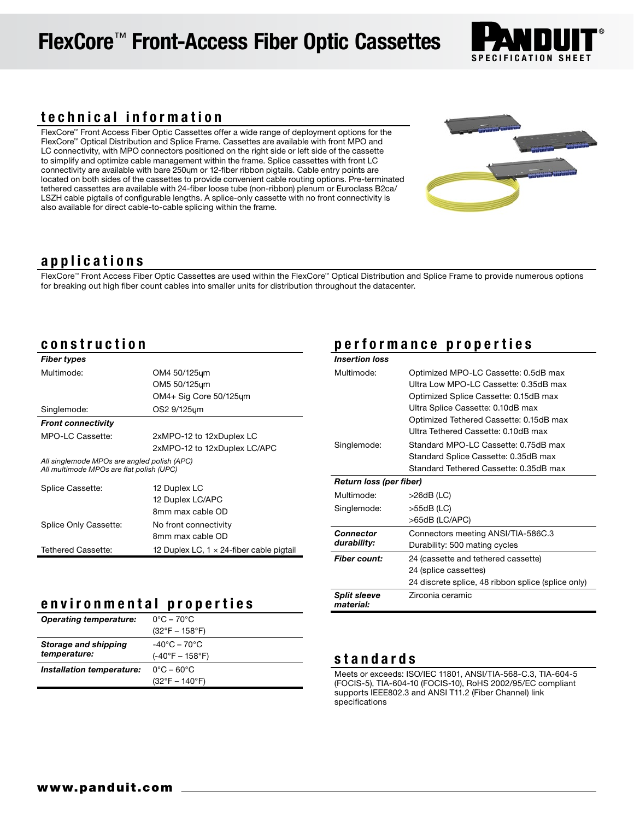# FlexCore™ Front-Access Fiber Optic Cassettes



## technical information

FlexCore™ Front Access Fiber Optic Cassettes offer a wide range of deployment options for the FlexCore™ Optical Distribution and Splice Frame. Cassettes are available with front MPO and LC connectivity, with MPO connectors positioned on the right side or left side of the cassette to simplify and optimize cable management within the frame. Splice cassettes with front LC connectivity are available with bare 250 um or 12-fiber ribbon pigtails. Cable entry points are located on both sides of the cassettes to provide convenient cable routing options. Pre-terminated tethered cassettes are available with 24-fiber loose tube (non-ribbon) plenum or Euroclass B2ca/ LSZH cable pigtails of configurable lengths. A splice-only cassette with no front connectivity is also available for direct cable-to-cable splicing within the frame.



## applications

FlexCore™ Front Access Fiber Optic Cassettes are used within the FlexCore™ Optical Distribution and Splice Frame to provide numerous options for breaking out high fiber count cables into smaller units for distribution throughout the datacenter.

## construction

| <b>Fiber types</b>                                                                      |                                                  |  |
|-----------------------------------------------------------------------------------------|--------------------------------------------------|--|
| Multimode:                                                                              | OM4 50/125um                                     |  |
|                                                                                         | OM5 50/125um                                     |  |
|                                                                                         | OM4+ Sig Core 50/125um                           |  |
| Singlemode:                                                                             | OS2 9/125um                                      |  |
| <b>Front connectivity</b>                                                               |                                                  |  |
| MPO-LC Cassette:                                                                        | 2xMPO-12 to 12xDuplex LC                         |  |
|                                                                                         | 2xMPO-12 to 12xDuplex LC/APC                     |  |
| All singlemode MPOs are angled polish (APC)<br>All multimode MPOs are flat polish (UPC) |                                                  |  |
| Splice Cassette:                                                                        | 12 Duplex LC                                     |  |
|                                                                                         | 12 Duplex LC/APC                                 |  |
|                                                                                         | 8mm max cable OD                                 |  |
| Splice Only Cassette:                                                                   | No front connectivity                            |  |
|                                                                                         | 8mm max cable OD                                 |  |
| Tethered Cassette:                                                                      | 12 Duplex LC, $1 \times 24$ -fiber cable pigtail |  |

### environmental properties

| <b>Operating temperature:</b> | $0^{\circ}$ C – 70 $^{\circ}$ C   |
|-------------------------------|-----------------------------------|
|                               | $(32^{\circ}F - 158^{\circ}F)$    |
| Storage and shipping          | $-40^{\circ}$ C – 70 $^{\circ}$ C |
| temperature:                  | $(-40^{\circ}F - 158^{\circ}F)$   |
| Installation temperature:     | $0^{\circ}$ C – 60 $^{\circ}$ C   |
|                               | $(32^{\circ}F - 140^{\circ}F)$    |

## performance properties

| Insertion loss          |                                                    |  |
|-------------------------|----------------------------------------------------|--|
| Multimode:              | Optimized MPO-LC Cassette: 0.5dB max               |  |
|                         | Ultra Low MPO-LC Cassette: 0.35dB max              |  |
|                         | Optimized Splice Cassette: 0.15dB max              |  |
|                         | Ultra Splice Cassette: 0.10dB max                  |  |
|                         | Optimized Tethered Cassette: 0.15dB max            |  |
|                         | Ultra Tethered Cassette: 0.10dB max                |  |
| Singlemode:             | Standard MPO-LC Cassette: 0.75dB max               |  |
|                         | Standard Splice Cassette: 0.35dB max               |  |
|                         | Standard Tethered Cassette: 0.35dB max             |  |
| Return loss (per fiber) |                                                    |  |
| Multimode:              | $>26dB$ (LC)                                       |  |
| Singlemode:             | $>55dB$ (LC)                                       |  |
|                         | >65dB (LC/APC)                                     |  |
| Connector               | Connectors meeting ANSI/TIA-586C.3                 |  |
| durability:             | Durability: 500 mating cycles                      |  |
| <b>Fiber count:</b>     | 24 (cassette and tethered cassette)                |  |
|                         | 24 (splice cassettes)                              |  |
|                         | 24 discrete splice, 48 ribbon splice (splice only) |  |
| <b>Split sleeve</b>     | Zirconia ceramic                                   |  |
| material:               |                                                    |  |

## standards

Meets or exceeds: ISO/IEC 11801, ANSI/TIA-568-C.3, TIA-604-5 (FOCIS-5), TIA-604-10 (FOCIS-10), RoHS 2002/95/EC compliant supports IEEE802.3 and ANSI T11.2 (Fiber Channel) link specifications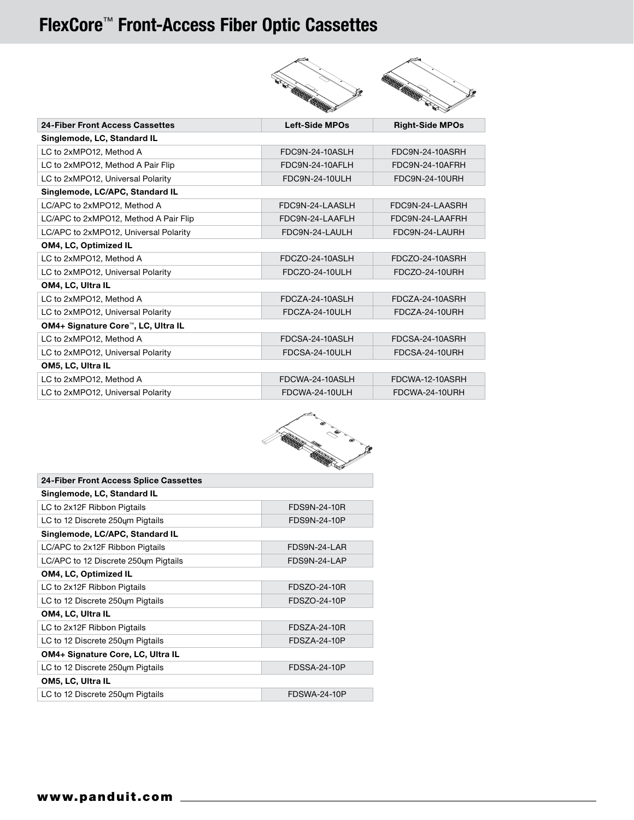## FlexCore™ Front-Access Fiber Optic Cassettes



| Left-Side MPOs         | <b>Right-Side MPOs</b> |  |  |  |
|------------------------|------------------------|--|--|--|
|                        |                        |  |  |  |
| <b>FDC9N-24-10ASLH</b> | FDC9N-24-10ASRH        |  |  |  |
| FDC9N-24-10AFLH        | FDC9N-24-10AFRH        |  |  |  |
| FDC9N-24-10ULH         | FDC9N-24-10URH         |  |  |  |
|                        |                        |  |  |  |
| FDC9N-24-LAASLH        | FDC9N-24-LAASRH        |  |  |  |
| FDC9N-24-LAAFLH        | FDC9N-24-LAAFRH        |  |  |  |
| FDC9N-24-LAULH         | FDC9N-24-LAURH         |  |  |  |
|                        |                        |  |  |  |
| FDCZO-24-10ASLH        | FDCZO-24-10ASRH        |  |  |  |
| FDCZO-24-10ULH         | FDCZO-24-10URH         |  |  |  |
|                        |                        |  |  |  |
| <b>FDCZA-24-10ASLH</b> | FDCZA-24-10ASRH        |  |  |  |
| FDCZA-24-10ULH         | FDCZA-24-10URH         |  |  |  |
|                        |                        |  |  |  |
| FDCSA-24-10ASLH        | FDCSA-24-10ASRH        |  |  |  |
| <b>FDCSA-24-10ULH</b>  | FDCSA-24-10URH         |  |  |  |
| OM5, LC, Ultra IL      |                        |  |  |  |
| FDCWA-24-10ASLH        | FDCWA-12-10ASRH        |  |  |  |
| FDCWA-24-10ULH         | FDCWA-24-10URH         |  |  |  |
|                        |                        |  |  |  |



| 24-Fiber Front Access Splice Cassettes |                     |  |  |
|----------------------------------------|---------------------|--|--|
| Singlemode, LC, Standard IL            |                     |  |  |
| LC to 2x12F Ribbon Pigtails            | FDS9N-24-10R        |  |  |
| LC to 12 Discrete 250um Pigtails       | FDS9N-24-10P        |  |  |
| Singlemode, LC/APC, Standard IL        |                     |  |  |
| LC/APC to 2x12F Ribbon Pigtails        | FDS9N-24-LAR        |  |  |
| LC/APC to 12 Discrete 250um Pigtails   | FDS9N-24-LAP        |  |  |
| OM4, LC, Optimized IL                  |                     |  |  |
| LC to 2x12F Ribbon Pigtails            | FDSZO-24-10R        |  |  |
| LC to 12 Discrete 250um Pigtails       | FDSZO-24-10P        |  |  |
| OM4, LC, Ultra IL                      |                     |  |  |
| LC to 2x12F Ribbon Pigtails            | <b>FDSZA-24-10R</b> |  |  |
| LC to 12 Discrete 250um Pigtails       | FDSZA-24-10P        |  |  |
| OM4+ Signature Core, LC, Ultra IL      |                     |  |  |
| LC to 12 Discrete 250um Pigtails       | <b>FDSSA-24-10P</b> |  |  |
| OM5, LC, Ultra IL                      |                     |  |  |
| LC to 12 Discrete 250um Pigtails       | <b>FDSWA-24-10P</b> |  |  |
|                                        |                     |  |  |